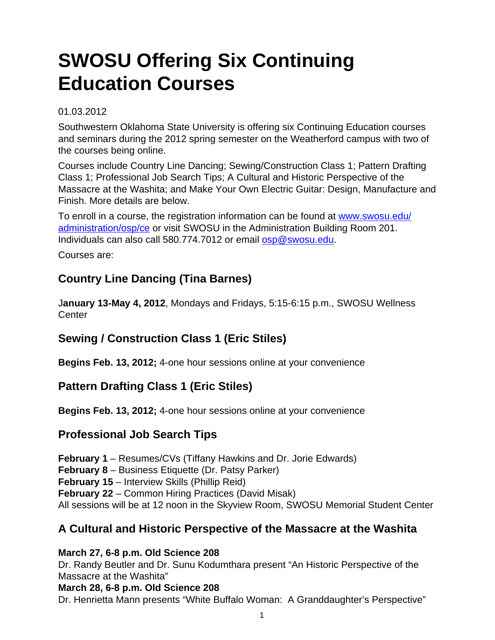# **SWOSU Offering Six Continuing Education Courses**

#### 01.03.2012

Southwestern Oklahoma State University is offering six Continuing Education courses and seminars during the 2012 spring semester on the Weatherford campus with two of the courses being online.

Courses include Country Line Dancing; Sewing/Construction Class 1; Pattern Drafting Class 1; Professional Job Search Tips; A Cultural and Historic Perspective of the Massacre at the Washita; and Make Your Own Electric Guitar: Design, Manufacture and Finish. More details are below.

To enroll in a course, the registration information can be found at [www.swosu.edu/](http://www.swosu.edu/administration/osp/ce) [administration/osp/ce](http://www.swosu.edu/administration/osp/ce) or visit SWOSU in the Administration Building Room 201. Individuals can also call 580.774.7012 or email [osp@swosu.edu](mailto:osp@swosu.edu).

Courses are:

# **Country Line Dancing (Tina Barnes)**

J**anuary 13-May 4, 2012**, Mondays and Fridays, 5:15-6:15 p.m., SWOSU Wellness **Center** 

# **Sewing / Construction Class 1 (Eric Stiles)**

**Begins Feb. 13, 2012;** 4-one hour sessions online at your convenience

# **Pattern Drafting Class 1 (Eric Stiles)**

**Begins Feb. 13, 2012;** 4-one hour sessions online at your convenience

### **Professional Job Search Tips**

**February 1** – Resumes/CVs (Tiffany Hawkins and Dr. Jorie Edwards) **February 8** – Business Etiquette (Dr. Patsy Parker) **February 15** – Interview Skills (Phillip Reid) **February 22** – Common Hiring Practices (David Misak) All sessions will be at 12 noon in the Skyview Room, SWOSU Memorial Student Center

# **A Cultural and Historic Perspective of the Massacre at the Washita**

#### **March 27, 6-8 p.m. Old Science 208**

Dr. Randy Beutler and Dr. Sunu Kodumthara present "An Historic Perspective of the Massacre at the Washita"

#### **March 28, 6-8 p.m. Old Science 208**

Dr. Henrietta Mann presents "White Buffalo Woman: A Granddaughter's Perspective"